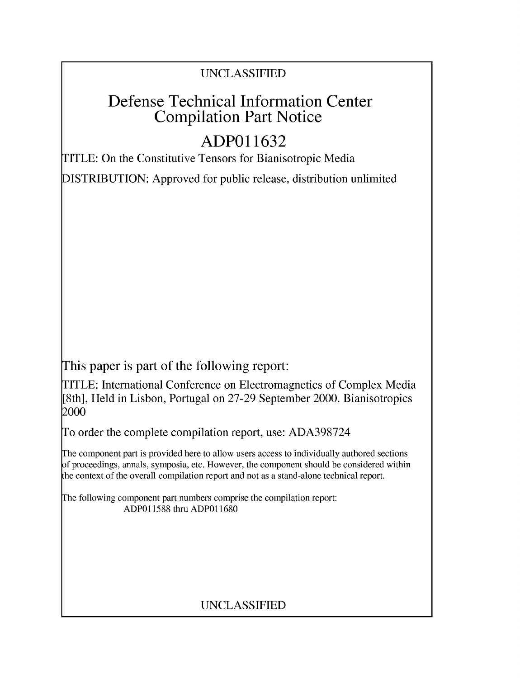### UNCLASSIFIED

## Defense Technical Information Center Compilation Part Notice

# **ADPO 11632**

TITLE: On the Constitutive Tensors for Bianisotropic Media

DISTRIBUTION: Approved for public release, distribution unlimited

This paper is part of the following report:

TITLE: International Conference on Electromagnetics of Complex Media [8th], Held in Lisbon, Portugal on 27-29 September 2000. Bianisotropics 2000

To order the complete compilation report, use: ADA398724

The component part is provided here to allow users access to individually authored sections f proceedings, annals, symposia, etc. However, the component should be considered within [he context of the overall compilation report and not as a stand-alone technical report.

The following component part numbers comprise the compilation report: ADP011588 thru ADP011680

### UNCLASSIFIED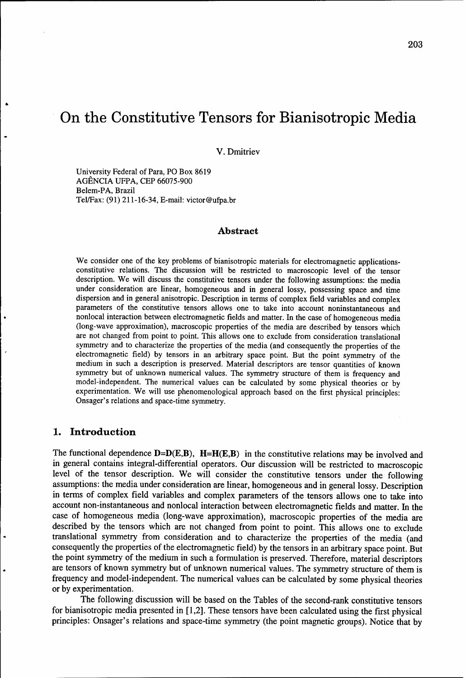# On the Constitutive Tensors for Bianisotropic Media

V. Dmitriev

University Federal of Para, PO Box 8619 AGÊNCIA UFPA, CEP 66075-900 Belem-PA, Brazil Tel/Fax: (91) 211-16-34, E-mail: victor@ufpa.br

#### Abstract

We consider one of the key problems of bianisotropic materials for electromagnetic applicationsconstitutive relations. The discussion will be restricted to macroscopic level of the tensor description. We will discuss the constitutive tensors under the following assumptions: the media under consideration are linear, homogeneous and in general lossy, possessing space and time dispersion and in general anisotropic. Description in terms of complex field variables and complex parameters of the constitutive tensors allows one to take into account noninstantaneous and nonlocal interaction between electromagnetic fields and matter. In the case of homogeneous media (long-wave approximation), macroscopic properties of the media are described by tensors which are not changed from point to point. This allows one to exclude from consideration translational symmetry and to characterize the properties of the media (and consequently the properties of the electromagnetic field) by tensors in an arbitrary space point. But the point symmetry of the medium in such a description is preserved. Material descriptors are tensor quantities of known symmetry but of unknown numerical values. The symmetry structure of them is frequency and model-independent. The numerical values can be calculated by some physical theories or by experimentation. We will use phenomenological approach based on the first physical principles: Onsager's relations and space-time symmetry.

#### **1.** Introduction

The functional dependence  $D=D(E,B)$ ,  $H=H(E,B)$  in the constitutive relations may be involved and in general contains integral-differential operators. Our discussion will be restricted to macroscopic level of the tensor description. We will consider the constitutive tensors under the following assumptions: the media under consideration are linear, homogeneous and in general lossy. Description in terms of complex field variables and complex parameters of the tensors allows one to take into account non-instantaneous and nonlocal interaction between electromagnetic fields and matter. In the case of homogeneous media (long-wave approximation), macroscopic properties of the media are described by the tensors which are not changed from point to point. This allows one to exclude translational symmetry from consideration and to characterize the properties of the media (and consequently the properties of the electromagnetic field) by the tensors in an arbitrary space point. But the point symmetry of the medium in such a formulation is preserved. Therefore, material descriptors are tensors of known symmetry but of unknown numerical values. The symmetry structure of them is frequency and model-independent. The numerical values can be calculated by some physical theories or by experimentation.

The following discussion will be based on the Tables of the second-rank constitutive tensors for bianisotropic media presented in [1,2]. These tensors have been calculated using the first physical principles: Onsager's relations and space-time symmetry (the point magnetic groups). Notice that by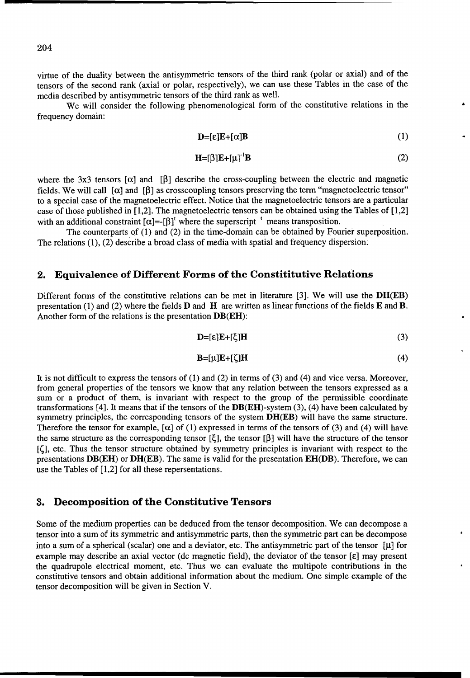virtue of the duality between the antisymmetric tensors of the third rank (polar or axial) and of the tensors of the second rank (axial or polar, respectively), we can use these Tables in the case of the media described by antisymmetric tensors of the third rank as well.

We will consider the following phenomenological form of the constitutive relations in the frequency domain:

$$
\mathbf{D} = [\varepsilon] \mathbf{E} + [\alpha] \mathbf{B} \tag{1}
$$

$$
\mathbf{H} = [\beta] \mathbf{E} + [\mu]^\top \mathbf{B} \tag{2}
$$

where the 3x3 tensors  $[\alpha]$  and  $[\beta]$  describe the cross-coupling between the electric and magnetic fields. We will call  $\lceil \alpha \rceil$  and  $\lceil \beta \rceil$  as crosscoupling tensors preserving the term "magnetoelectric tensor" to a special case of the magnetoelectric effect. Notice that the magnetoelectric tensors are a particular case of those published in [1,2]. The magnetoelectric tensors can be obtained using the Tables of [1,2] with an additional constraint  $[\alpha]=[\beta]^t$  where the superscript  $'$  means transposition.

The counterparts of (1) and (2) in the time-domain can be obtained by Fourier superposition. The relations (1), (2) describe a broad class of media with spatial and frequency dispersion.

#### 2. Equivalence of Different Forms of the Constititutive Relations

Different forms of the constitutive relations can be met in literature [3]. We will use the  $DH(EB)$ presentation (1) and (2) where the fields  **and**  $**H**$  **are written as linear functions of the fields**  $**E**$  **and**  $**B**$ **.** Another form of the relations is the presentation DB(EH):

$$
\mathbf{D} = [\varepsilon] \mathbf{E} + [\xi] \mathbf{H} \tag{3}
$$

$$
\mathbf{B} = [\mu] \mathbf{E} + [\zeta] \mathbf{H} \tag{4}
$$

It is not difficult to express the tensors of (1) and (2) in terms of (3) and (4) and vice versa. Moreover, from general properties of the tensors we know that any relation between the tensors expressed as a sum or a product of them, is invariant with respect to the group of the permissible coordinate transformations [4]. It means that if the tensors of the  $DB(EH)$ -system (3), (4) have been calculated by symmetry principles, the corresponding tensors of the system DH(EB) will have the same structure. Therefore the tensor for example,  $[\alpha]$  of (1) expressed in terms of the tensors of (3) and (4) will have the same structure as the corresponding tensor  $[\xi]$ , the tensor  $[\beta]$  will have the structure of the tensor **[c],** etc. Thus the tensor structure obtained by symmetry principles is invariant with respect to the presentations  $DB(EH)$  or  $DH(EB)$ . The same is valid for the presentation  $EH(DB)$ . Therefore, we can use the Tables of [1,2] for all these repersentations.

#### **3.** Decomposition of the Constitutive Tensors

Some of the medium properties can be deduced from the tensor decomposition. We can decompose a tensor into a sum of its symmetric and antisymmetric parts, then the symmetric part can be decompose into a sum of a spherical (scalar) one and a deviator, etc. The antisymmetric part of the tensor  $[\mu]$  for example may describe an axial vector (dc magnetic field), the deviator of the tensor  $[\epsilon]$  may present the quadrupole electrical moment, etc. Thus we can evaluate the multipole contributions in the constitutive tensors and obtain additional information about the medium. One simple example of the tensor decomposition will be given in Section V.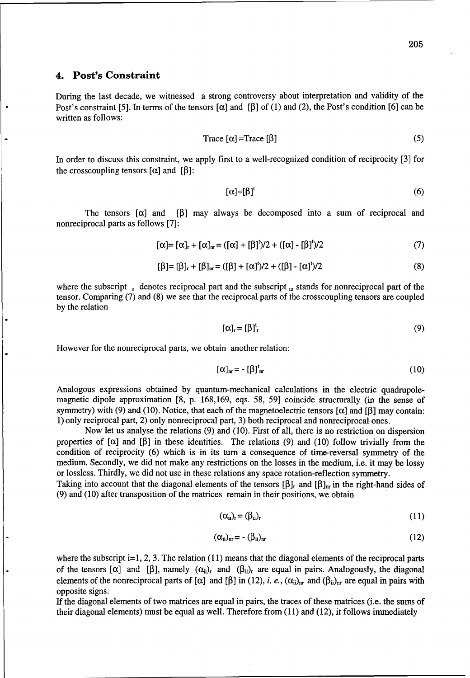#### 4. Post's Constraint

During the last decade, we witnessed a strong controversy about interpretation and validity of the Post's constraint [5]. In terms of the tensors  $\lceil \alpha \rceil$  and  $\lceil \beta \rceil$  of (1) and (2), the Post's condition [6] can be written as follows:

$$
Trace [\alpha] = Trace [\beta]
$$
 (5)

In order to discuss this constraint, we apply first to a well-recognized condition of reciprocity [3] for the crosscoupling tensors  $[\alpha]$  and  $[\beta]$ :

$$
[\alpha]=[\beta]^t \tag{6}
$$

The tensors  $[\alpha]$  and  $[\beta]$  may always be decomposed into a sum of reciprocal and nonreciprocal parts as follows [7]:

$$
[\alpha] = [\alpha]_{r} + [\alpha]_{nr} = ([\alpha] + [\beta]^{t})/2 + ([\alpha] - [\beta]^{t})/2
$$
 (7)

$$
[\beta] = [\beta]_r + [\beta]_{nr} = ([\beta] + [\alpha]^{t})/2 + ([\beta] - [\alpha]^{t})/2
$$
\n(8)

where the subscript  $\mathbf{r}$  denotes reciprocal part and the subscript  $\mathbf{r}$  stands for nonreciprocal part of the tensor. Comparing (7) and (8) we see that the reciprocal parts of the crosscoupling tensors are coupled by the relation

$$
[\alpha]_{\mathbf{r}} = [\beta]_{\mathbf{r}}^{\mathbf{t}} \tag{9}
$$

However for the nonreciprocal parts, we obtain another relation:

$$
[\alpha]_{\mathbf{m}} = -[\beta]_{\mathbf{m}}^{\mathbf{t}} \tag{10}
$$

Analogous expressions obtained by quantum-mechanical calculations in the electric quadrupolemagnetic dipole approximation [8, p. 168,169, eqs. 58, 59] coincide structurally (in the sense of symmetry) with (9) and (10). Notice, that each of the magnetoelectric tensors  $\alpha$  and  $\beta$  may contain: 1) only reciprocal part, 2) only nonreciprocal part, 3) both reciprocal and nonreciprocal ones.

Now let us analyse the relations (9) and (10). First of all, there is no restriction on dispersion properties of  $[\alpha]$  and  $[\beta]$  in these identities. The relations (9) and (10) follow trivially from the condition of reciprocity (6) which is in its turn a consequence of time-reversal symmetry of the medium. Secondly, we did not make any restrictions on the losses in the medium, i.e. it may be lossy or lossless. Thirdly, we did not use in these relations any space rotation-reflection symmetry.

Taking into account that the diagonal elements of the tensors  $[\beta]_r$  and  $[\beta]_{nr}$  in the right-hand sides of (9) and (10) after transposition of the matrices remain in their positions, we obtain

$$
(\alpha_{ii})_r = (\beta_{ii})_r \tag{11}
$$

$$
(\alpha_{ii})_{nr} = -(\beta_{ii})_{nr} \tag{12}
$$

where the subscript i=1, 2, 3. The relation (11) means that the diagonal elements of the reciprocal parts of the tensors  $[\alpha]$  and  $[\beta]$ , namely  $(\alpha_{ii})_r$  and  $(\beta_{ii})_r$  are equal in pairs. Analogously, the diagonal elements of the nonreciprocal parts of  $[\alpha]$  and  $[\beta]$  in (12), *i. e.*,  $(\alpha_{ii})_{nr}$  and  $(\beta_{ii})_{nr}$  are equal in pairs with opposite signs.

If the diagonal elements of two matrices are equal in pairs, the traces of these matrices (i.e. the sums of their diagonal elements) must be equal as well. Therefore from (11) and (12), it follows immediately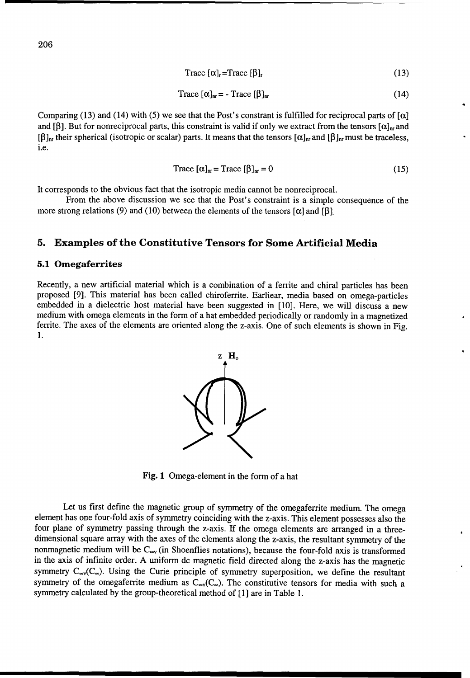$$
Trace [\alpha]_{r} = Trace [\beta]_{r}
$$
 (13)

$$
\text{Trace } [\alpha]_{\text{nr}} = - \text{Trace } [\beta]_{\text{nr}} \tag{14}
$$

Comparing (13) and (14) with (5) we see that the Post's constrant is fulfilled for reciprocal parts of  $\lceil \alpha \rceil$ and [ $\beta$ ]. But for nonreciprocal parts, this constraint is valid if only we extract from the tensors  $[\alpha]_{nr}$  and  $[\beta]_{nr}$  their spherical (isotropic or scalar) parts. It means that the tensors  $[\alpha]_{nr}$  and  $[\beta]_{nr}$  must be traceless, i.e.

$$
Trace [\alpha]_{nr} = Trace [\beta]_{nr} = 0 \tag{15}
$$

It corresponds to the obvious fact that the isotropic media cannot be nonreciprocal.

From the above discussion we see that the Post's constraint is a simple consequence of the more strong relations (9) and (10) between the elements of the tensors  $\lceil \alpha \rceil$  and  $\lceil \beta \rceil$ .

#### **5.** Examples of the Constitutive Tensors for Some Artificial Media

#### **5.1** Omegaferrites

Recently, a new artificial material which is a combination of a ferrite and chiral particles has been proposed [9]. This material has been called chiroferrite. Earliear, media based on omega-particles embedded in a dielectric host material have been suggested in [10]. Here, we will discuss a new medium with omega elements in the form of a hat embedded periodically or randomly in a magnetized ferrite. The axes of the elements are oriented along the z-axis. One of such elements is shown in Fig. 1.



Fig. **1** Omega-element in the form of a hat

Let us first define the magnetic group of symmetry of the omegaferrite medium. The omega element has one four-fold axis of symmetry coinciding with the z-axis. This element possesses also the four plane of symmetry passing through the z-axis. If the omega elements are arranged in a threedimensional square array with the axes of the elements along the z-axis, the resultant symmetry of the nonmagnetic medium will be  $C_{\infty}$  (in Shoenflies notations), because the four-fold axis is transformed in the axis of infinite order. A uniform dc magnetic field directed along the z-axis has the magnetic symmetry  $C_{\infty}$ , Using the Curie principle of symmetry superposition, we define the resultant symmetry of the omegaferrite medium as  $C_{\infty}(C_{\infty})$ . The constitutive tensors for media with such a symmetry calculated by the group-theoretical method of [1] are in Table 1.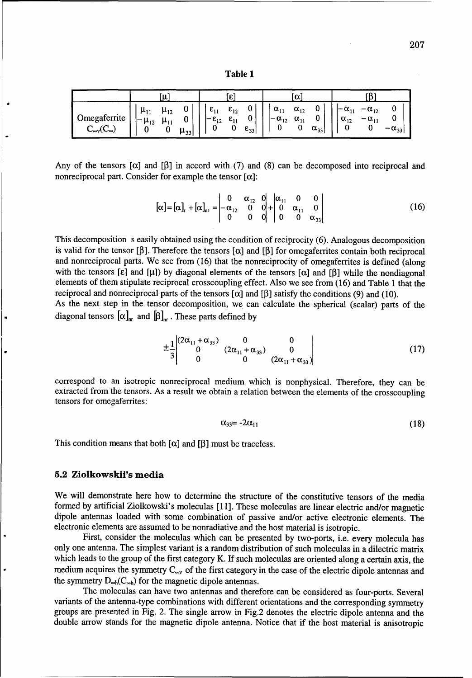Table **1**

|                                        | ٠щ                                                                           |                      |                                            |                                       |                      | u                               |                                |                    |                                 |                                    |                 |
|----------------------------------------|------------------------------------------------------------------------------|----------------------|--------------------------------------------|---------------------------------------|----------------------|---------------------------------|--------------------------------|--------------------|---------------------------------|------------------------------------|-----------------|
| Omegaferrite<br>$C_{\infty}C_{\infty}$ | $\mu_{12}$<br>$\mu_{11}$<br>$\blacksquare$<br>--<br>$\mu_{12}$<br>$\mu_{11}$ | 0<br>0<br>$\mu_{33}$ | $\varepsilon_{11}$<br>$- \varepsilon_{12}$ | $\epsilon_{12}$<br>$\varepsilon_{11}$ | 0<br>$\epsilon_{33}$ | $\alpha_{11}$<br>$-\alpha_{12}$ | $\alpha_{12}$<br>$\alpha_{11}$ | v<br>$\alpha_{33}$ | $-\alpha_{11}$<br>$\alpha_{12}$ | $-\alpha_{12}$<br>$-\alpha$<br>. . | $-\alpha_{331}$ |

Any of the tensors  $[\alpha]$  and  $[\beta]$  in accord with (7) and (8) can be decomposed into reciprocal and nonreciprocal part. Consider for example the tensor  $[\alpha]$ :

$$
[\alpha] = [\alpha]_r + [\alpha]_{nr} = \begin{vmatrix} 0 & \alpha_{12} & 0 & |\alpha_{11} & 0 & 0 \\ -\alpha_{12} & 0 & 0 & | & 0 & \alpha_{11} & 0 \\ 0 & 0 & 0 & | & 0 & \alpha_{33} \end{vmatrix}
$$
 (16)

This decomposition s easily obtained using the condition of reciprocity (6). Analogous decomposition is valid for the tensor [ $\beta$ ]. Therefore the tensors [ $\alpha$ ] and [ $\beta$ ] for omegaferrites contain both reciprocal and nonreciprocal parts. We see from (16) that the nonreciprocity of omegaferrites is defined (along with the tensors [ $\epsilon$ ] and [ $\mu$ ]) by diagonal elements of the tensors [ $\alpha$ ] and [ $\beta$ ] while the nondiagonal elements of them stipulate reciprocal crosscoupling effect. Also we see from (16) and Table 1 that the reciprocal and nonreciprocal parts of the tensors  $\alpha$  and  $\beta$  satisfy the conditions (9) and (10).

As the next step in the tensor decomposition, we can calculate the spherical (scalar) parts of the diagonal tensors  $[\alpha]_{nr}$  and  $[\beta]_{nr}$ . These parts defined by

$$
\pm \frac{1}{3} \begin{vmatrix} (2\alpha_{11} + \alpha_{33}) & 0 & 0 \\ 0 & (2\alpha_{11} + \alpha_{33}) & 0 \\ 0 & 0 & (2\alpha_{11} + \alpha_{33}) \end{vmatrix}
$$
 (17)

correspond to an isotropic nonreciprocal medium which is nonphysical. Therefore, they can be extracted from the tensors. As a result we obtain a relation between the elements of the crosscoupling tensors for omegaferrites:

$$
\alpha_{33} = -2\alpha_{11} \tag{18}
$$

This condition means that both  $[\alpha]$  and  $[\beta]$  must be traceless.

#### **5.2** Ziolkowskii's media

We will demonstrate here how to determine the structure of the constitutive tensors of the media formed by artificial Ziolkowski's moleculas [11]. These moleculas are linear electric and/or magnetic dipole antennas loaded with some combination of passive and/or active electronic elements. The electronic elements are assumed to be nonradiative and the host material is isotropic.

First, consider the moleculas which can be presented by two-ports, i.e. every molecula has only one antenna. The simplest variant is a random distribution of such moleculas in a dilectric matrix which leads to the group of the first category K. If such moleculas are oriented along a certain axis, the medium acquires the symmetry  $C_{\text{av}}$  of the first category in the case of the electric dipole antennas and the symmetry  $D_{\infty h}(C_{\infty h})$  for the magnetic dipole antennas.

The moleculas can have two antennas and therefore can be considered as four-ports. Several variants of the antenna-type combinations with different orientations and the corresponding symmetry groups are presented in Fig. 2. The single arrow in Fig.2 denotes the electric dipole antenna and the double arrow stands for the magnetic dipole antenna. Notice that if the host material is anisotropic